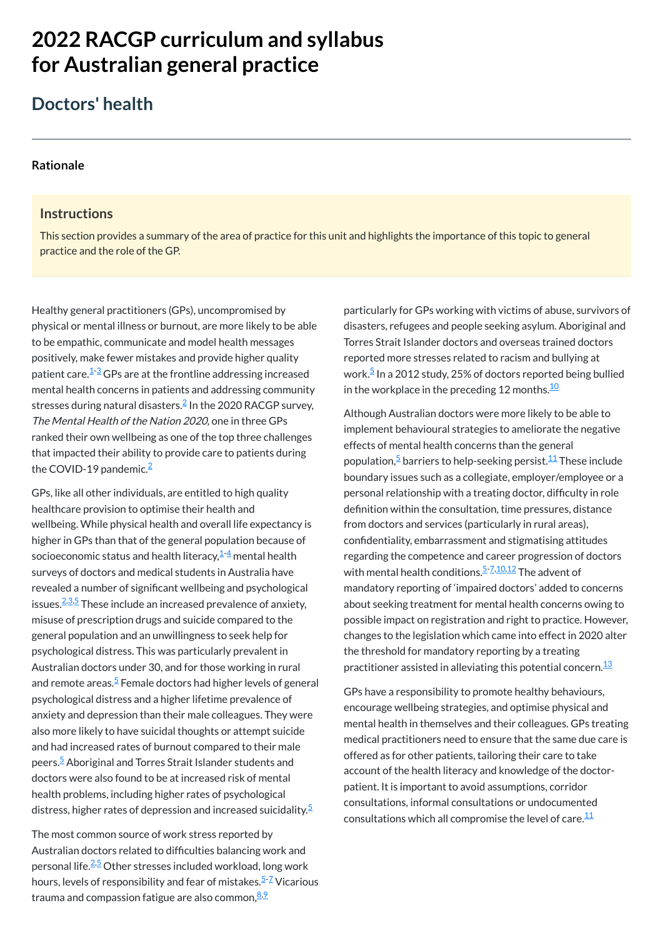# **2022 RACGP curriculum and syllabus for Australian [general practice](https://www.racgp.org.au/Curriculum-and-Syllabus/home)**

# **Doctors' health**

#### **[Rationale](javascript:void(0))**

#### **Instructions**

Healthy general practitioners (GPs), uncompromised by physical or mental illness or burnout, are more likely to be able to be empathic, communicate and model health messages positively, make fewer mistakes and provide higher quality patient care.<sup>[1](#page-1-0)-[3](#page-1-1)</sup> GPs are at the frontline addressing increased mental health concerns in patients and addressing community stresses during natural disasters. $\stackrel{\text{2}}{=}$  $\stackrel{\text{2}}{=}$  $\stackrel{\text{2}}{=}$  In the 2020 RACGP survey, The Mental Health of the Nation 2020, one in three GPs ranked their own wellbeing as one of the top three challenges that impacted their ability to provide care to patients during the COVID-19 pandemic.<sup>[2](#page-1-2)</sup>

This section provides a summary of the area of practice for this unit and highlights the importance of this topic to general practice and the role of the GP.

GPs, like all other individuals, are entitled to high quality healthcare provision to optimise their health and wellbeing. While physical health and overall life expectancy is higher in GPs than that of the general population because of socioeconomic status and health literacy, $^{\mathbf{\underline{1}-\underline{4}}}$  $^{\mathbf{\underline{1}-\underline{4}}}$  $^{\mathbf{\underline{1}-\underline{4}}}$  mental health surveys of doctors and medical students in Australia have revealed a number of significant wellbeing and psychological issues.<sup>[2,](#page-1-2)[3](#page-1-1)[,5](#page-1-4)</sup> These include an increased prevalence of anxiety, misuse of prescription drugs and suicide compared to the general population and an unwillingness to seek help for psychological distress. This was particularly prevalent in Australian doctors under 30, and for those working in rural and remote areas.<sup>[5](#page-1-4)</sup> Female doctors had higher levels of general psychological distress and a higher lifetime prevalence of anxiety and depression than their male colleagues. They were also more likely to have suicidal thoughts or attempt suicide and had increased rates of burnout compared to their male peers.<sup>[5](#page-1-4)</sup> Aboriginal and Torres Strait Islander students and doctors were also found to be at increased risk of mental health problems, including higher rates of psychological distress, higher rates of depression and increased suicidality.<sup>[5](#page-1-4)</sup>

The most common source of work stress reported by Australian doctors related to difficulties balancing work and personal life.<sup>[2](#page-1-2)[,5](#page-1-4)</sup> Other stresses included workload, long work hours, levels of responsibility and fear of mistakes.<sup>[5](#page-1-4)[-7](#page-1-5)</sup> Vicarious trauma and compassion fatigue are also common,<sup>[8](#page-1-6),2</sup>

particularly for GPs working with victims of abuse, survivors of disasters, refugees and people seeking asylum. Aboriginal and Torres Strait Islander doctors and overseas trained doctors reported more stresses related to racism and bullying at work.<sup>[5](#page-1-4)</sup> In a 2012 study, 25% of doctors reported being bullied in the workplace in the preceding 12 months. $^\mathrm{10}$  $^\mathrm{10}$  $^\mathrm{10}$ 

Although Australian doctors were more likely to be able to implement behavioural strategies to ameliorate the negative effects of mental health concerns than the general population,<sup>[5](#page-1-4)</sup> barriers to help-seeking persist.<sup>[11](#page-1-9)</sup> These include boundary issues such as a collegiate, employer/employee or a personal relationship with a treating doctor, difficulty in role definition within the consultation, time pressures, distance from doctors and services (particularly in rural areas), confidentiality, embarrassment and stigmatising attitudes regarding the competence and career progression of doctors with mental health conditions.<sup>[5-](#page-1-4)[7,](#page-1-5)[10,](#page-1-8)[12](#page-1-10)</sup> The advent of mandatory reporting of 'impaired doctors' added to concerns about seeking treatment for mental health concerns owing to possible impact on registration and right to practice. However, changes to the legislation which came into effect in 2020 alter the threshold for mandatory reporting by a treating practitioner assisted in alleviating this potential concern. $^{\underline{13}}$  $^{\underline{13}}$  $^{\underline{13}}$ 

GPs have a responsibility to promote healthy behaviours, encourage wellbeing strategies, and optimise physical and mental health in themselves and their colleagues. GPs treating medical practitioners need to ensure that the same due care is offered as for other patients, tailoring their care to take account of the health literacy and knowledge of the doctorpatient. It is important to avoid assumptions, corridor consultations, informal consultations or undocumented consultations which all compromise the level of care.<sup>[11](#page-1-9)</sup>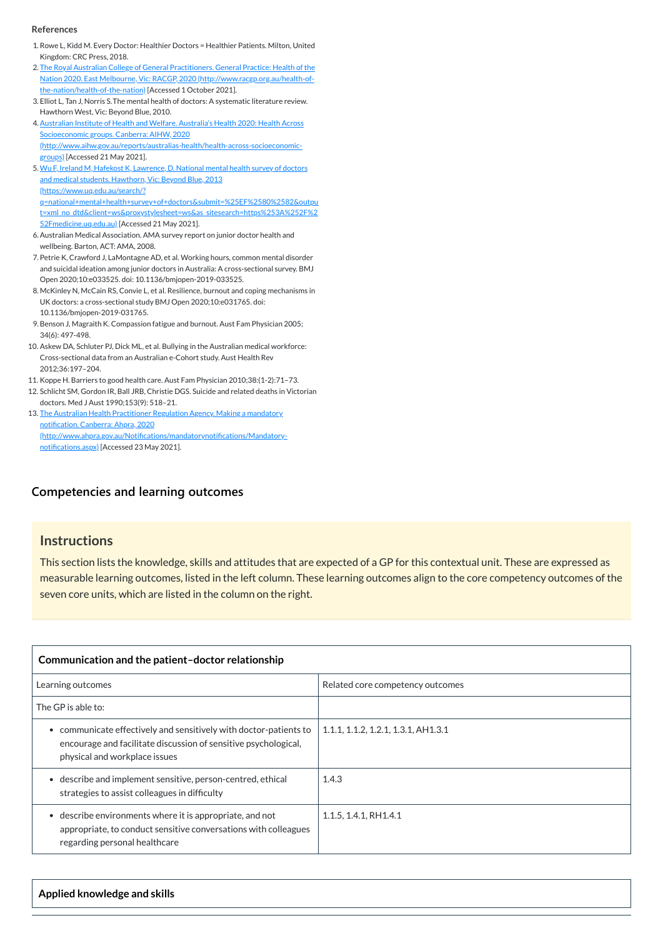# **[Competencies and learning outcomes](javascript:void(0))**

# **Instructions**

This section lists the knowledge, skills and attitudes that are expected of a GP for this contextual unit. These are expressed as measurable learning outcomes, listed in the left column. These learning outcomes align to the core competency outcomes of the seven core units, which are listed in the column on the right.

- <span id="page-1-0"></span>1.Rowe L, Kidd M. Every Doctor: Healthier Doctors = Healthier Patients. Milton, United Kingdom: CRC Press, 2018.
- <span id="page-1-2"></span>2. The Royal Australian College of General Practitioners. General Practice: Health of the Nation 2020. East Melbourne, Vic: RACGP, 2020 [\(http://www.racgp.org.au/health-of](http://www.racgp.org.au/health-of-the-nation/health-of-the-nation)the-nation/health-of-the-nation) [Accessed 1 October 2021].
- <span id="page-1-1"></span>3. Elliot L, Tan J, Norris S.The mental health of doctors: A systematic literature review. Hawthorn West, Vic: Beyond Blue, 2010.
- <span id="page-1-3"></span>4. Australian Institute of Health and Welfare. Australia's Health 2020: Health Across Socioeconomic groups. Canberra: AIHW, 2020 [\(http://www.aihw.gov.au/reports/australias-health/health-across-socioeconomic](http://www.aihw.gov.au/reports/australias-health/health-across-socioeconomic-groups)groups) [Accessed 21 May 2021].
- <span id="page-1-4"></span>5. Wu F, Ireland M, Hafekost K, Lawrence, D. National mental health survey of doctors and medical students. Hawthorn, Vic: Beyond Blue, 2013 (https://www.uq.edu.au/search/? [q=national+mental+health+survey+of+doctors&submit=%25EF%2580%2582&outpu](https://www.uq.edu.au/search/?q=national+mental+health+survey+of+doctors&submit=%25EF%2580%2582&output=xml_no_dtd&client=ws&proxystylesheet=ws&as_sitesearch=https%253A%252F%252Fmedicine.uq.edu.au) t=xml\_no\_dtd&client=ws&proxystylesheet=ws&as\_sitesearch=https%253A%252F%2 52Fmedicine.uq.edu.au) [Accessed 21 May 2021].
- 6.Australian Medical Association. AMA survey report on junior doctor health and wellbeing. Barton, ACT: AMA, 2008.
- <span id="page-1-5"></span>7. Petrie K, Crawford J, LaMontagne AD, et al. Working hours, common mental disorder and suicidal ideation among junior doctors in Australia: A cross-sectional survey. BMJ Open 2020;10:e033525. doi: 10.1136/bmjopen-2019-033525.
- <span id="page-1-6"></span>8. McKinley N, McCain RS, Convie L, et al. Resilience, burnout and coping mechanisms in UK doctors: a cross-sectional study BMJ Open 2020;10:e031765. doi: 10.1136/bmjopen-2019-031765.
- <span id="page-1-7"></span>9.Benson J, Magraith K. Compassion fatigue and burnout. Aust Fam Physician 2005; 34(6): 497-498.
- <span id="page-1-8"></span>10. Askew DA, Schluter PJ, Dick ML, et al. Bullying in the Australian medical workforce: Cross-sectional data from an Australian e-Cohort study. Aust Health Rev 2012;36:197–204.
- <span id="page-1-9"></span>11. Koppe H. Barriers to good health care. Aust Fam Physician 2010;38:(1-2):71–73.
- <span id="page-1-10"></span>12. Schlicht SM, Gordon IR, Ball JRB, Christie DGS. Suicide and related deaths in Victorian doctors. Med J Aust 1990;153(9): 518–21.
- <span id="page-1-11"></span>13. The Australian Health Practitioner Regulation Agency. Making a mandatory notification. Canberra: Ahpra, 2020 [\(http://www.ahpra.gov.au/Notifications/mandatorynotifications/Mandatory](http://www.ahpra.gov.au/Notifications/mandatorynotifications/Mandatory-notifications.aspx)notifications.aspx) [Accessed 23 May 2021].

| Communication and the patient-doctor relationship                                                                                                                   |                                        |  |
|---------------------------------------------------------------------------------------------------------------------------------------------------------------------|----------------------------------------|--|
| Learning outcomes                                                                                                                                                   | Related core competency outcomes       |  |
| The GP is able to:                                                                                                                                                  |                                        |  |
| communicate effectively and sensitively with doctor-patients to<br>encourage and facilitate discussion of sensitive psychological,<br>physical and workplace issues | $1.1.1$ , 1.1.2, 1.2.1, 1.3.1, AH1.3.1 |  |
| describe and implement sensitive, person-centred, ethical<br>strategies to assist colleagues in difficulty                                                          | 1.4.3                                  |  |
| describe environments where it is appropriate, and not<br>appropriate, to conduct sensitive conversations with colleagues<br>regarding personal healthcare          | 1.1.5, 1.4.1, RH1.4.1                  |  |

**Applied knowledge and skills**

#### **References**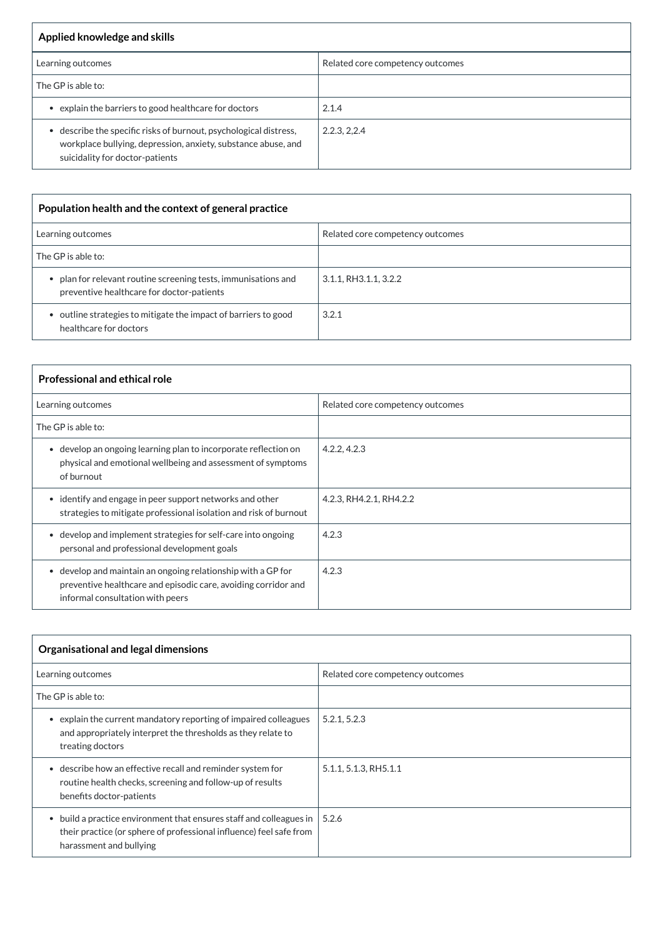| Applied knowledge and skills                                                                                                                                          |                                  |
|-----------------------------------------------------------------------------------------------------------------------------------------------------------------------|----------------------------------|
| Learning outcomes                                                                                                                                                     | Related core competency outcomes |
| The GP is able to:                                                                                                                                                    |                                  |
| • explain the barriers to good healthcare for doctors                                                                                                                 | 2.1.4                            |
| • describe the specific risks of burnout, psychological distress,<br>workplace bullying, depression, anxiety, substance abuse, and<br>suicidality for doctor-patients | 2.2.3, 2.2.4                     |

| Population health and the context of general practice                                                       |                                  |  |
|-------------------------------------------------------------------------------------------------------------|----------------------------------|--|
| Learning outcomes                                                                                           | Related core competency outcomes |  |
| The GP is able to:                                                                                          |                                  |  |
| • plan for relevant routine screening tests, immunisations and<br>preventive healthcare for doctor-patients | 3.1.1, RH3.1.1, 3.2.2            |  |
| • outline strategies to mitigate the impact of barriers to good<br>healthcare for doctors                   | 3.2.1                            |  |

| <b>Professional and ethical role</b>                                                                                                                                          |                                  |  |
|-------------------------------------------------------------------------------------------------------------------------------------------------------------------------------|----------------------------------|--|
| Learning outcomes                                                                                                                                                             | Related core competency outcomes |  |
| The GP is able to:                                                                                                                                                            |                                  |  |
| develop an ongoing learning plan to incorporate reflection on<br>$\bullet$<br>physical and emotional wellbeing and assessment of symptoms<br>of burnout                       | 4.2.2, 4.2.3                     |  |
| • identify and engage in peer support networks and other<br>strategies to mitigate professional isolation and risk of burnout                                                 | 4.2.3, RH4.2.1, RH4.2.2          |  |
| develop and implement strategies for self-care into ongoing<br>$\bullet$<br>personal and professional development goals                                                       | 4.2.3                            |  |
| develop and maintain an ongoing relationship with a GP for<br>$\bullet$<br>preventive healthcare and episodic care, avoiding corridor and<br>informal consultation with peers | 4.2.3                            |  |

| <b>Organisational and legal dimensions</b> |                                  |
|--------------------------------------------|----------------------------------|
| Learning outcomes                          | Related core competency outcomes |
| $\vert$ The GP is able to:                 |                                  |

| explain the current mandatory reporting of impaired colleagues<br>and appropriately interpret the thresholds as they relate to<br>treating doctors                      | 5.2.1, 5.2.3          |
|-------------------------------------------------------------------------------------------------------------------------------------------------------------------------|-----------------------|
| • describe how an effective recall and reminder system for<br>routine health checks, screening and follow-up of results<br>benefits doctor-patients                     | 5.1.1, 5.1.3, RH5.1.1 |
| • build a practice environment that ensures staff and colleagues in  <br>their practice (or sphere of professional influence) feel safe from<br>harassment and bullying | 5.2.6                 |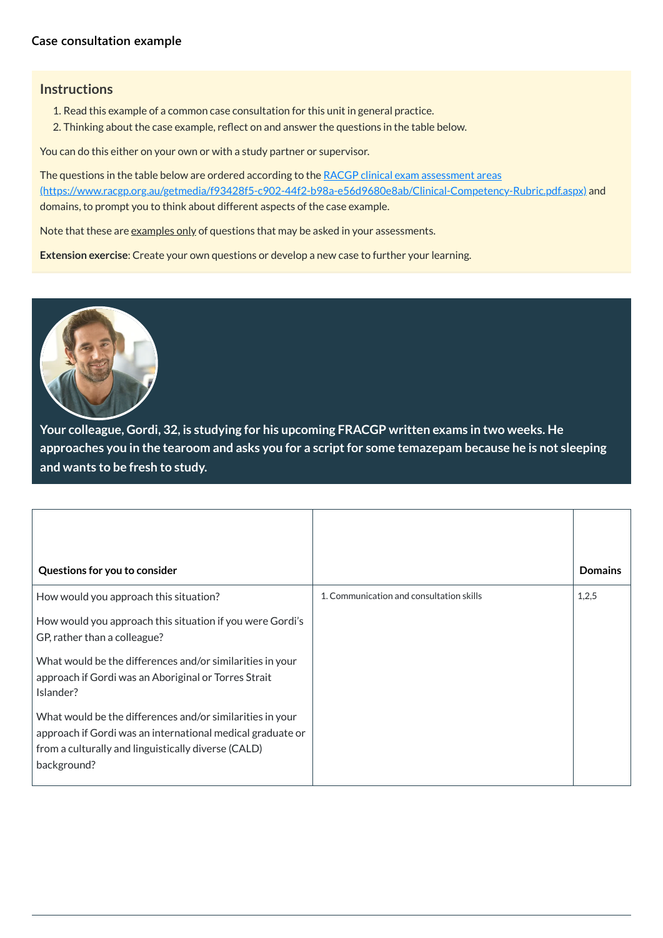# **[Case consultation example](javascript:void(0))**

# **Instructions**

- 1. Read this example of a common case consultation for this unit in general practice.
- 2. Thinking about the case example, reflect on and answer the questions in the table below.

You can do this either on your own or with a study partner or supervisor.

The questions in the table below are ordered according to the RACGP clinical exam assessment areas [\(https://www.racgp.org.au/getmedia/f93428f5-c902-44f2-b98a-e56d9680e8ab/Clinical-Competency-Rubric.pdf.aspx\)](https://www.racgp.org.au/getmedia/f93428f5-c902-44f2-b98a-e56d9680e8ab/Clinical-Competency-Rubric.pdf.aspx) and domains, to prompt you to think about different aspects of the case example.

<span id="page-3-0"></span>

| Questions for you to consider                                                                                                  |                                          | <b>Domains</b> |
|--------------------------------------------------------------------------------------------------------------------------------|------------------------------------------|----------------|
| How would you approach this situation?                                                                                         | 1. Communication and consultation skills | 1,2,5          |
| How would you approach this situation if you were Gordi's<br>GP, rather than a colleague?                                      |                                          |                |
| What would be the differences and/or similarities in your<br>approach if Gordi was an Aboriginal or Torres Strait<br>Islander? |                                          |                |

Note that these are examples only of questions that may be asked in your assessments.

**Extension exercise**: Create your own questions or develop a new case to further your learning.



**Your colleague, Gordi, 32, is studying for his upcoming FRACGP written exams in two weeks. He approaches you in the tearoom and asks you for a scriptfor some temazepam because he is not sleeping and wants to be fresh to study.**

| What would be the differences and/or similarities in your  |  |
|------------------------------------------------------------|--|
| approach if Gordi was an international medical graduate or |  |
| $\mid$ from a culturally and linguistically diverse (CALD) |  |
| background?                                                |  |
|                                                            |  |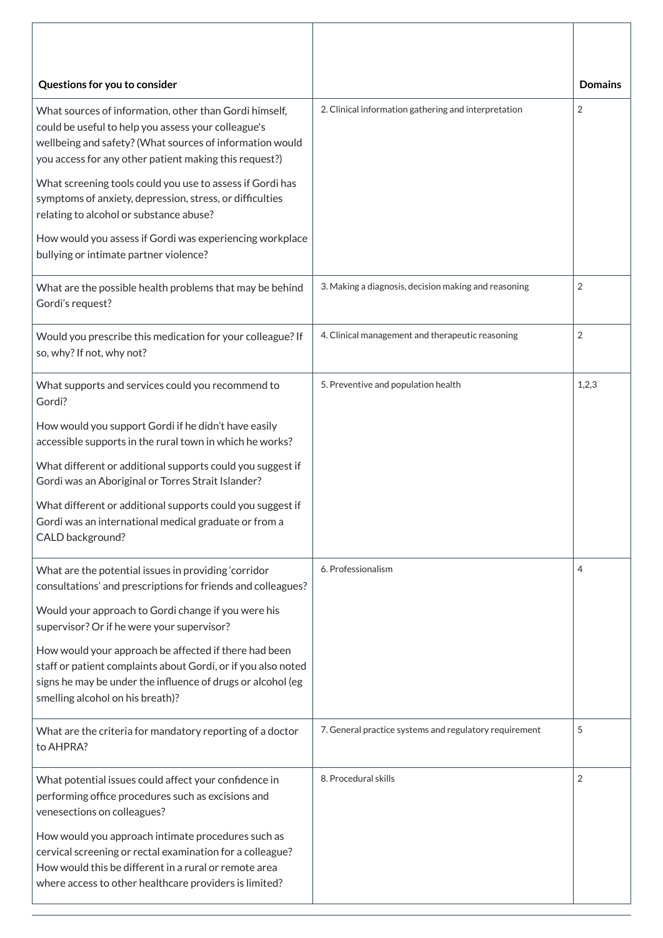| Questions for you to consider                                                                                                                                                                                                                                                                                                                                                                                                                                                                                 |                                                        | <b>Domains</b> |
|---------------------------------------------------------------------------------------------------------------------------------------------------------------------------------------------------------------------------------------------------------------------------------------------------------------------------------------------------------------------------------------------------------------------------------------------------------------------------------------------------------------|--------------------------------------------------------|----------------|
| What sources of information, other than Gordi himself,<br>could be useful to help you assess your colleague's<br>wellbeing and safety? (What sources of information would<br>you access for any other patient making this request?)<br>What screening tools could you use to assess if Gordi has<br>symptoms of anxiety, depression, stress, or difficulties<br>relating to alcohol or substance abuse?<br>How would you assess if Gordi was experiencing workplace<br>bullying or intimate partner violence? | 2. Clinical information gathering and interpretation   | $\overline{2}$ |
| What are the possible health problems that may be behind<br>Gordi's request?                                                                                                                                                                                                                                                                                                                                                                                                                                  | 3. Making a diagnosis, decision making and reasoning   | $\overline{2}$ |
| Would you prescribe this medication for your colleague? If<br>so, why? If not, why not?                                                                                                                                                                                                                                                                                                                                                                                                                       | 4. Clinical management and therapeutic reasoning       | 2              |
| What supports and services could you recommend to<br>Gordi?                                                                                                                                                                                                                                                                                                                                                                                                                                                   | 5. Preventive and population health                    | 1,2,3          |
| How would you support Gordi if he didn't have easily<br>accessible supports in the rural town in which he works?                                                                                                                                                                                                                                                                                                                                                                                              |                                                        |                |
| What different or additional supports could you suggest if<br>Gordi was an Aboriginal or Torres Strait Islander?                                                                                                                                                                                                                                                                                                                                                                                              |                                                        |                |
| What different or additional supports could you suggest if<br>Gordi was an international medical graduate or from a<br>CALD background?                                                                                                                                                                                                                                                                                                                                                                       |                                                        |                |
| What are the potential issues in providing 'corridor<br>consultations' and prescriptions for friends and colleagues?                                                                                                                                                                                                                                                                                                                                                                                          | 6. Professionalism                                     | 4              |
| Would your approach to Gordi change if you were his<br>supervisor? Or if he were your supervisor?                                                                                                                                                                                                                                                                                                                                                                                                             |                                                        |                |
| How would your approach be affected if there had been<br>staff or patient complaints about Gordi, or if you also noted<br>signs he may be under the influence of drugs or alcohol (eg<br>smelling alcohol on his breath)?                                                                                                                                                                                                                                                                                     |                                                        |                |
| What are the criteria for mandatory reporting of a doctor<br>to AHPRA?                                                                                                                                                                                                                                                                                                                                                                                                                                        | 7. General practice systems and regulatory requirement | 5              |
| What potential issues could affect your confidence in<br>performing office procedures such as excisions and<br>venesections on colleagues?                                                                                                                                                                                                                                                                                                                                                                    | 8. Procedural skills                                   | $\overline{2}$ |
| How would you approach intimate procedures such as<br>cervical screening or rectal examination for a colleague?<br>How would this be different in a rural or remote area<br>where access to other healthcare providers is limited?                                                                                                                                                                                                                                                                            |                                                        |                |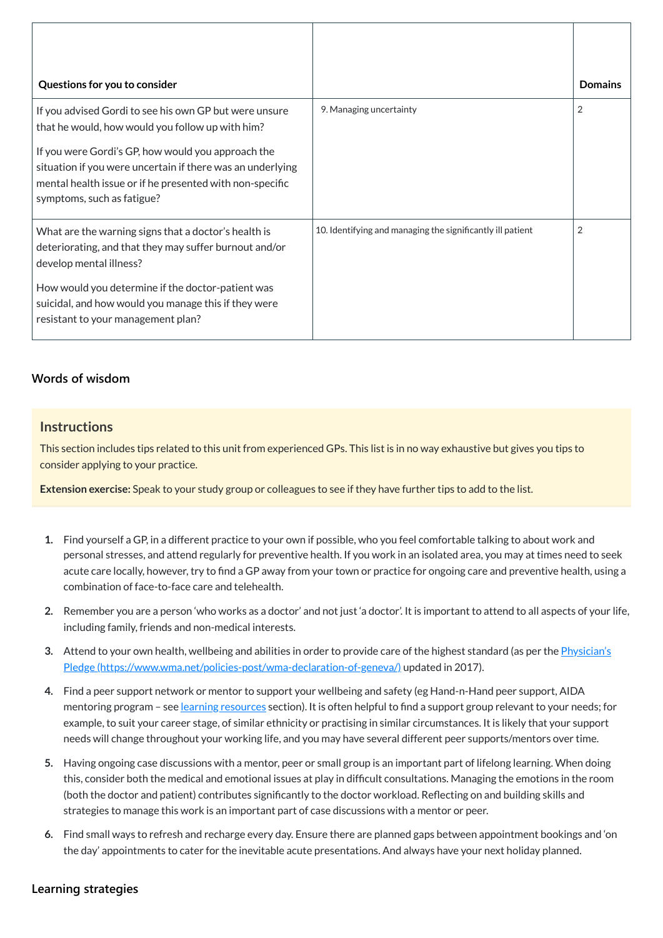| Questions for you to consider                                                                                                                                                                              |                                                            | <b>Domains</b> |
|------------------------------------------------------------------------------------------------------------------------------------------------------------------------------------------------------------|------------------------------------------------------------|----------------|
| If you advised Gordi to see his own GP but were unsure<br>that he would, how would you follow up with him?                                                                                                 | 9. Managing uncertainty                                    | $\overline{2}$ |
| If you were Gordi's GP, how would you approach the<br>situation if you were uncertain if there was an underlying<br>mental health issue or if he presented with non-specific<br>symptoms, such as fatigue? |                                                            |                |
| What are the warning signs that a doctor's health is<br>deteriorating, and that they may suffer burnout and/or<br>develop mental illness?                                                                  | 10. Identifying and managing the significantly ill patient | $\overline{2}$ |
| How would you determine if the doctor-patient was<br>suicidal, and how would you manage this if they were<br>resistant to your management plan?                                                            |                                                            |                |

# **[Words of wisdom](javascript:void(0))**

# **Instructions**

This section includes tips related to this unit from experienced GPs. This list is in no way exhaustive but gives you tips to consider applying to your practice.

**Extension exercise:** Speak to your study group or colleagues to see if they have further tips to add to the list.

- **1.** Find yourself a GP, in a different practice to your own if possible, who you feel comfortable talking to about work and personal stresses, and attend regularly for preventive health. If you work in an isolated area, you may at times need to seek acute care locally, however, try to find a GP away from your town or practice for ongoing care and preventive health, using a combination of face-to-face care and telehealth.
- **2.** Remember you are a person 'who works as a doctor' and not just 'a doctor'. It is important to attend to all aspects of your life, including family, friends and non-medical interests.
- **3.** Attend to your own health, wellbeing and abilities in order to provide care of the highest standard (as per the *Physician's* Pledge [\(https://www.wma.net/policies-post/wma-declaration-of-geneva/\)](https://www.wma.net/policies-post/wma-declaration-of-geneva/) updated in 2017).
- **4.** Find a peer support network or mentor to support your wellbeing and safety (eg Hand-n-Hand peer support, AIDA mentoring program - see learning [resources](#page-8-0) section). It is often helpful to find a support group relevant to your needs; for example, to suit your career stage, of similar ethnicity or practising in similar circumstances. It is likely that your support needs will change throughout your working life, and you may have several different peer supports/mentors over time.
- **5.** Having ongoing case discussions with a mentor, peer or small group is an important part of lifelong learning. When doing this, consider both the medical and emotional issues at play in difficult consultations. Managing the emotions in the room (both the doctor and patient) contributes significantly to the doctor workload. Reflecting on and building skills and strategies to manage this work is an important part of case discussions with a mentor or peer.
- **6.** Find small ways to refresh and recharge every day. Ensure there are planned gaps between appointment bookings and 'on the day' appointments to cater for the inevitable acute presentations. And always have your next holiday planned.

**[Learning strategies](javascript:void(0))**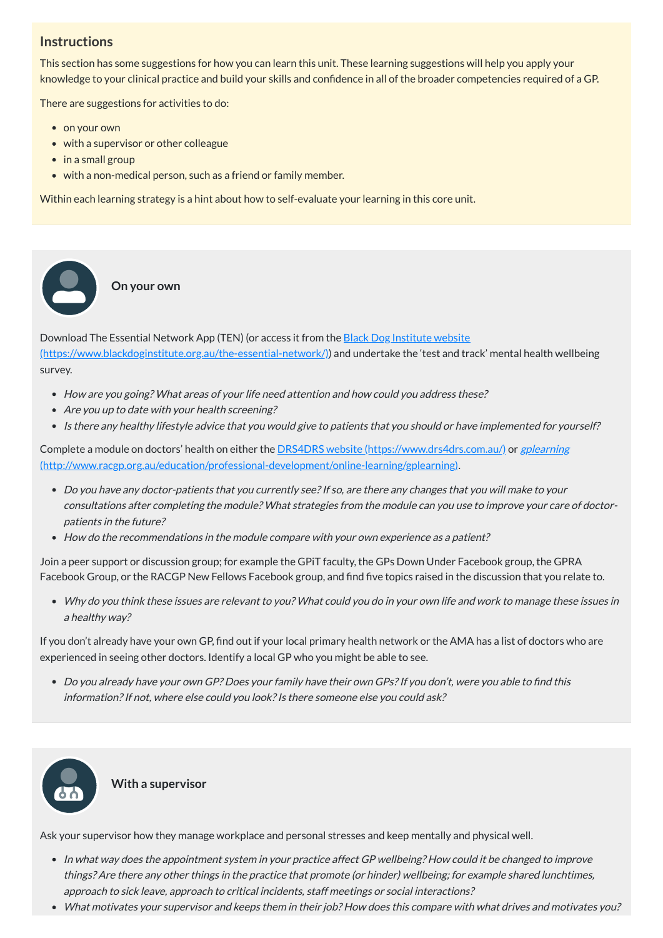# **Instructions**

This section has some suggestions for how you can learn this unit. These learning suggestions will help you apply your knowledge to your clinical practice and build your skills and confidence in all of the broader competencies required of a GP.

There are suggestions for activities to do:

• on your own

 $\bullet$ 

- with a supervisor or other colleague
- in a small group
- with a non-medical person, such as a friend or family member.

Download The Essential Network App (TEN) (or access it from the **Black Dog Institute website** [\(https://www.blackdoginstitute.org.au/the-essential-network/\)\)](https://www.blackdoginstitute.org.au/the-essential-network/) and undertake the 'test and track' mental health wellbeing survey.

- How are you going? What areas of your life need attention and how could you address these?
- Are you up to date with your health screening?
- Is there any healthy lifestyle advice that you would give to patients that you should or have implemented for yourself?

Within each learning strategy is a hint about how to self-evaluate your learning in this core unit.

**On your own**

Complete a module on doctors' health on either the **DRS4DRS** website [\(https://www.drs4drs.com.au/\)](https://www.drs4drs.com.au/) or gplearning [\(http://www.racgp.org.au/education/professional-development/online-learning/gplearning\)](http://www.racgp.org.au/education/professional-development/online-learning/gplearning).

- Do you have any doctor-patients that you currently see?If so, are there any changes that you will make to your consultations after completing the module? What strategies from the module can you use to improve your care of doctorpatients in the future?
- How do the recommendations in the module compare with your own experience as a patient?

Do you already have your own GP? Does your family have their own GPs?If you don't, were you able to find this information? If not, where else could you look? Is there someone else you could ask?



- In what way does the appointment system in your practice affect GP wellbeing? How could it be changed to improve things? Are there any other things in the practice that promote (or hinder) wellbeing; for example shared lunchtimes, approach to sick leave, approach to critical incidents, staff meetings or social interactions?
- What motivates your supervisor and keeps them in their job? How does this compare with what drives and motivates you?

Join a peer support or discussion group; for example the GPiT faculty, the GPs Down Under Facebook group, the GPRA Facebook Group, or the RACGP New Fellows Facebook group, and find five topics raised in the discussion that you relate to.

Why do you think these issues are relevant to you? What could you do in your own life and work to manage these issues in <sup>a</sup> healthy way?

If you don't already have your own GP, find out if your local primary health network or the AMA has a list of doctors who are experienced in seeing other doctors. Identify a local GP who you might be able to see.

# **With a supervisor**

Ask your supervisor how they manage workplace and personal stresses and keep mentally and physical well.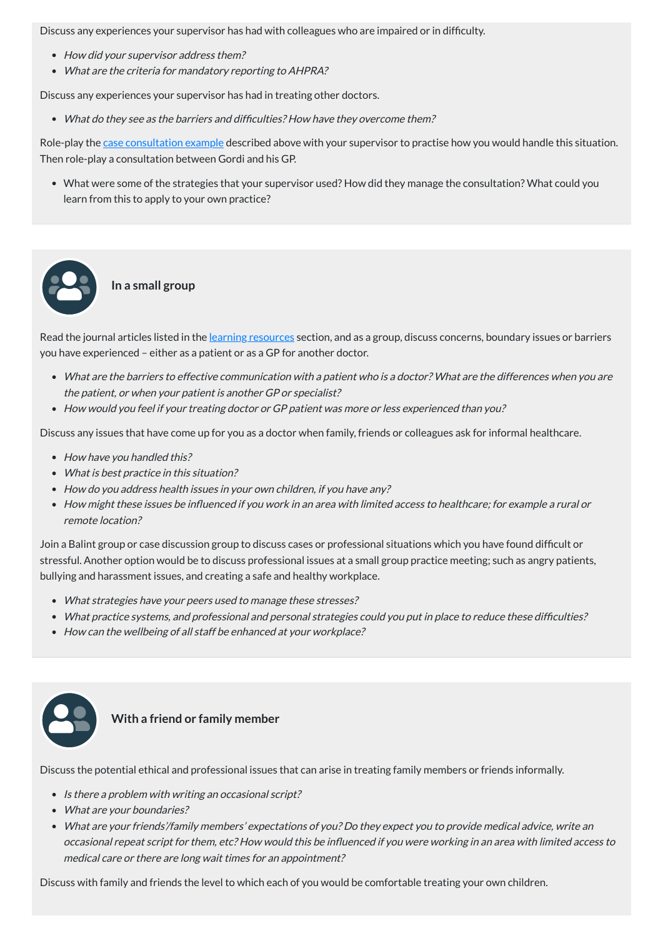Discuss any experiences your supervisor has had with colleagues who are impaired or in difficulty.

- How did your supervisor address them?
- What are the criteria for mandatory reporting to AHPRA?

Discuss any experiences your supervisor has had in treating other doctors.

Role-play the case [consultation](#page-3-0) example described above with your supervisor to practise how you would handle this situation. Then role-play a consultation between Gordi and his GP.

What do they see as the barriers and difficulties? How have they overcome them?

Read the journal articles listed in the learning [resources](#page-8-0) section, and as a group, discuss concerns, boundary issues or barriers you have experienced – either as a patient or as a GP for another doctor.

- What are the barriers to effective communication with <sup>a</sup> patient who is <sup>a</sup> doctor? What are the differences when you are the patient, or when your patient is another GP or specialist?
- How would you feel if your treating doctor or GP patient was more or less experienced than you?

What were some of the strategies that your supervisor used? How did they manage the consultation? What could you learn from this to apply to your own practice?

**In a small group**

- How have you handled this?
- What is best practice in this situation?
- How do you address health issues in your own children, if you have any?
- How might these issues be influenced if you work in an area with limited access to healthcare; for example <sup>a</sup> rural or remote location?

Discuss any issues that have come up for you as a doctor when family, friends or colleagues ask for informal healthcare.

- Is there a problem with writing an occasional script?
- What are your boundaries?
- What are your friends'/family members' expectations of you? Do they expect you to provide medical advice, write an occasional repeat script for them, etc? How would this be influenced if you were working in an area with limited access to medical care or there are long wait times for an appointment?

Join a Balint group or case discussion group to discuss cases or professional situations which you have found difficult or stressful. Another option would be to discuss professional issues at a small group practice meeting; such as angry patients, bullying and harassment issues, and creating a safe and healthy workplace.

- What strategies have your peers used to manage these stresses?
- What practice systems, and professional and personal strategies could you put in place to reduce these difficulties?
- How can the wellbeing of all staff be enhanced at your workplace?





### **With a friend or family member**

Discuss the potential ethical and professional issues that can arise in treating family members or friends informally.

Discuss with family and friends the level to which each of you would be comfortable treating your own children.

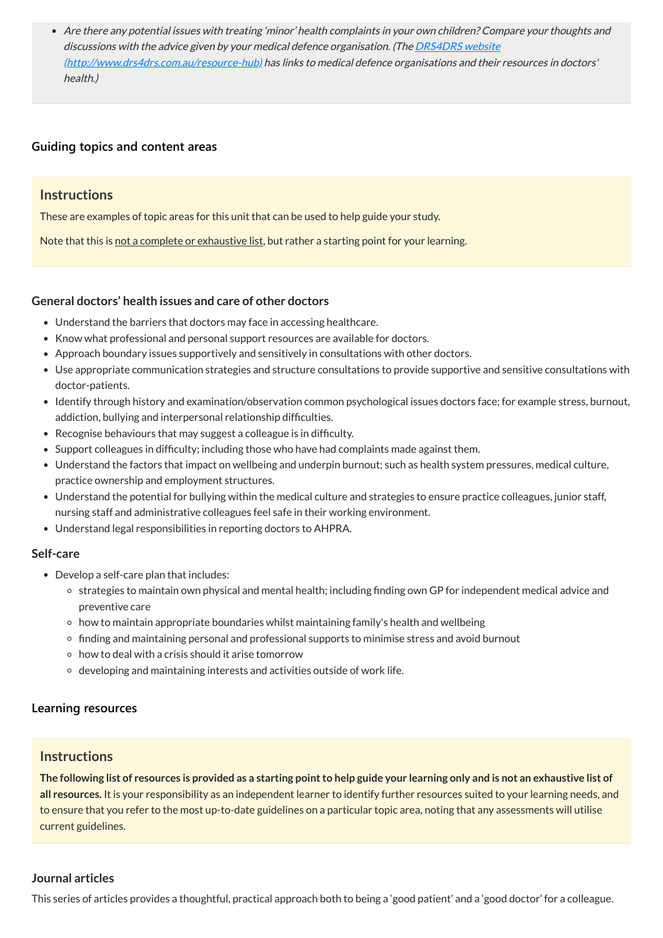Are there any potential issues with treating 'minor' health complaints in your own children? Compare your thoughts and discussions with the advice given by your medical defence organisation. (The **DRS4DRS** website [\(http://www.drs4drs.com.au/resource-hub\)](http://www.drs4drs.com.au/resource-hub) has links to medical defence organisations and their resources in doctors' health.)

# **[Guiding topics and content areas](javascript:void(0))**

# **Instructions**

These are examples of topic areas for this unit that can be used to help guide your study.

Note that this is not a complete or exhaustive list, but rather a starting point for your learning.

# **General doctors' health issues and care of other doctors**

- Develop a self-care plan that includes:
	- strategies to maintain own physical and mental health; including finding own GP for independent medical advice and preventive care
	- $\circ$  how to maintain appropriate boundaries whilst maintaining family's health and wellbeing
	- finding and maintaining personal and professional supports to minimise stress and avoid burnout
	- $\circ$  how to deal with a crisis should it arise tomorrow
	- $\circ$  developing and maintaining interests and activities outside of work life.

- Understand the barriers that doctors may face in accessing healthcare.
- Know what professional and personal support resources are available for doctors.
- Approach boundary issues supportively and sensitively in consultations with other doctors.
- Use appropriate communication strategies and structure consultations to provide supportive and sensitive consultations with doctor-patients.
- Identify through history and examination/observation common psychological issues doctors face; for example stress, burnout, addiction, bullying and interpersonal relationship difficulties.
- Recognise behaviours that may suggest a colleague is in difficulty.
- Support colleagues in difficulty; including those who have had complaints made against them.
- Understand the factors that impact on wellbeing and underpin burnout; such as health system pressures, medical culture, practice ownership and employment structures.
- Understand the potential for bullying within the medical culture and strategies to ensure practice colleagues, junior staff, nursing staff and administrative colleagues feel safe in their working environment.
- Understand legal responsibilities in reporting doctors to AHPRA.

The following list of resources is provided as a starting point to help guide your learning only and is not an exhaustive list of **all resources.** It is your responsibility as an independent learner to identify further resources suited to your learning needs, and to ensure that you refer to the most up-to-date guidelines on a particular topic area, noting that any assessments will utilise current guidelines.

#### **Self-care**

# **Instructions**

#### <span id="page-8-0"></span>**Journal articles**

This series of articles provides a thoughtful, practical approach both to being a 'good patient' and a 'good doctor' for a colleague.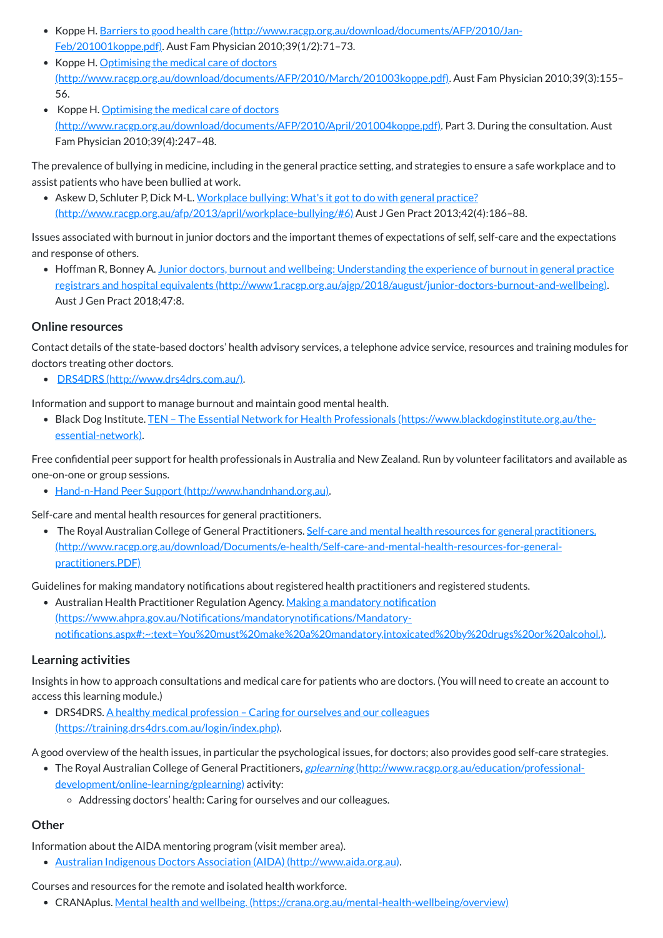- Koppe H. Barriers to good health care [\(http://www.racgp.org.au/download/documents/AFP/2010/Jan-](http://www.racgp.org.au/download/documents/AFP/2010/Jan-Feb/201001koppe.pdf)Feb/201001koppe.pdf). Aust Fam Physician 2010;39(1/2):71–73.
- Koppe H. Optimising the medical care of doctors [\(http://www.racgp.org.au/download/documents/AFP/2010/March/201003koppe.pdf\)](http://www.racgp.org.au/download/documents/AFP/2010/March/201003koppe.pdf). Aust Fam Physician 2010;39(3):155– 56.
- Koppe H. Optimising the medical care of doctors [\(http://www.racgp.org.au/download/documents/AFP/2010/April/201004koppe.pdf\)](http://www.racgp.org.au/download/documents/AFP/2010/April/201004koppe.pdf). Part 3. During the consultation. Aust Fam Physician 2010;39(4):247–48.

• Askew D, Schluter P, Dick M-L. Workplace bullying: What's it got to do with general practice? [\(http://www.racgp.org.au/afp/2013/april/workplace-bullying/#6\)](http://www.racgp.org.au/afp/2013/april/workplace-bullying/#6) Aust J Gen Pract 2013;42(4):186–88.

The prevalence of bullying in medicine, including in the general practice setting, and strategies to ensure a safe workplace and to assist patients who have been bullied at work.

• Hoffman R, Bonney A. Junior doctors, burnout and wellbeing: Understanding the experience of burnout in general practice registrars and hospital equivalents [\(http://www1.racgp.org.au/ajgp/2018/august/junior-doctors-burnout-and-wellbeing\).](http://www1.racgp.org.au/ajgp/2018/august/junior-doctors-burnout-and-wellbeing) Aust J Gen Pract 2018;47:8.

Issues associated with burnout in junior doctors and the important themes of expectations of self, self-care and the expectations and response of others.

• The Royal Australian College of General Practitioners. Self-care and mental health resources for general practitioners. [\(http://www.racgp.org.au/download/Documents/e-health/Self-care-and-mental-health-resources-for-general](http://www.racgp.org.au/download/Documents/e-health/Self-care-and-mental-health-resources-for-general-practitioners.PDF)practitioners.PDF)

• Australian Health Practitioner Regulation Agency. Making a mandatory notification (https://www.ahpra.gov.au/Notifications/mandatorynotifications/Mandatory[notifications.aspx#:~:text=You%20must%20make%20a%20mandatory,intoxicated%20by%20drugs%20or%20alcohol.\).](https://www.ahpra.gov.au/Notifications/mandatorynotifications/Mandatory-notifications.aspx#:~:text=You%20must%20make%20a%20mandatory,intoxicated%20by%20drugs%20or%20alcohol.)

# **Online resources**

Contact details of the state-based doctors' health advisory services, a telephone advice service, resources and training modules for doctors treating other doctors.

• DRS4DRS [\(http://www.drs4drs.com.au/\)](http://www.drs4drs.com.au/).

• DRS4DRS. A healthy medical profession – Caring for ourselves and our colleagues [\(https://training.drs4drs.com.au/login/index.php\).](https://training.drs4drs.com.au/login/index.php)

Information and support to manage burnout and maintain good mental health.

Black Dog Institute. TEN – The Essential Network for Health Professionals [\(https://www.blackdoginstitute.org.au/the](https://www.blackdoginstitute.org.au/the-essential-network)essential-network).

Free confidential peer support for health professionals in Australia and New Zealand. Run by volunteer facilitators and available as one-on-one or group sessions.

• Hand-n-Hand Peer Support [\(http://www.handnhand.org.au\)](http://www.handnhand.org.au/).

Self-care and mental health resources for general practitioners.

Guidelines for making mandatory notifications about registered health practitioners and registered students.

# **Learning activities**

Insights in how to approach consultations and medical care for patients who are doctors. (You will need to create an account to access this learning module.)

A good overview of the health issues, in particular the psychological issues, for doctors; also provides good self-care strategies.

• The Royal Australian College of General Practitioners, *gplearning [\(http://www.racgp.org.au/education/professional-](http://www.racgp.org.au/education/professional-development/online-learning/gplearning)*

development/online-learning/gplearning) activity:

Addressing doctors' health: Caring for ourselves and our colleagues.

# **Other**

Information about the AIDA mentoring program (visit member area).

Australian Indigenous Doctors Association (AIDA) [\(http://www.aida.org.au\)](http://www.aida.org.au/).

Courses and resources for the remote and isolated health workforce.

• CRANAplus. Mental health and wellbeing. [\(https://crana.org.au/mental-health-wellbeing/overview\)](https://crana.org.au/mental-health-wellbeing/overview)